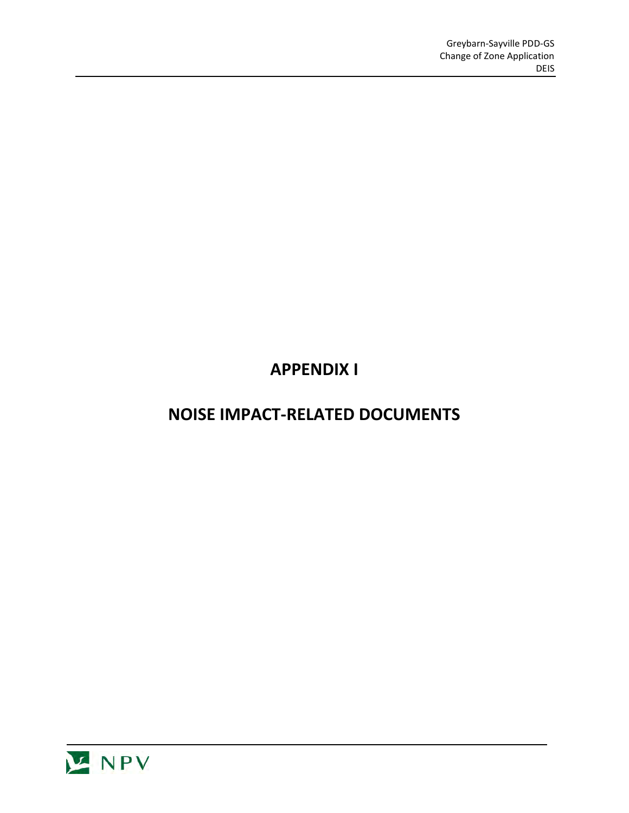# **APPENDIX I**

## **NOISE IMPACT-RELATED DOCUMENTS**

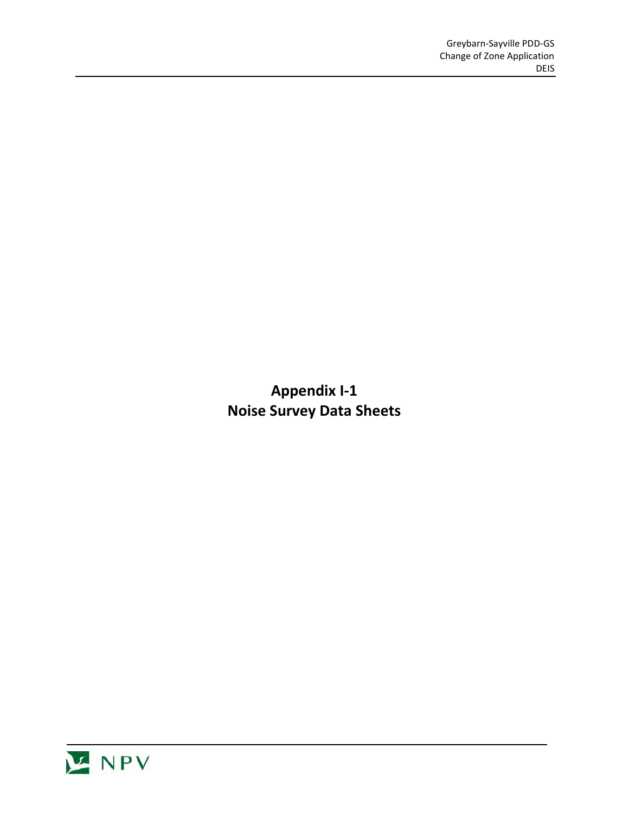**Appendix I-1 Noise Survey Data Sheets** 

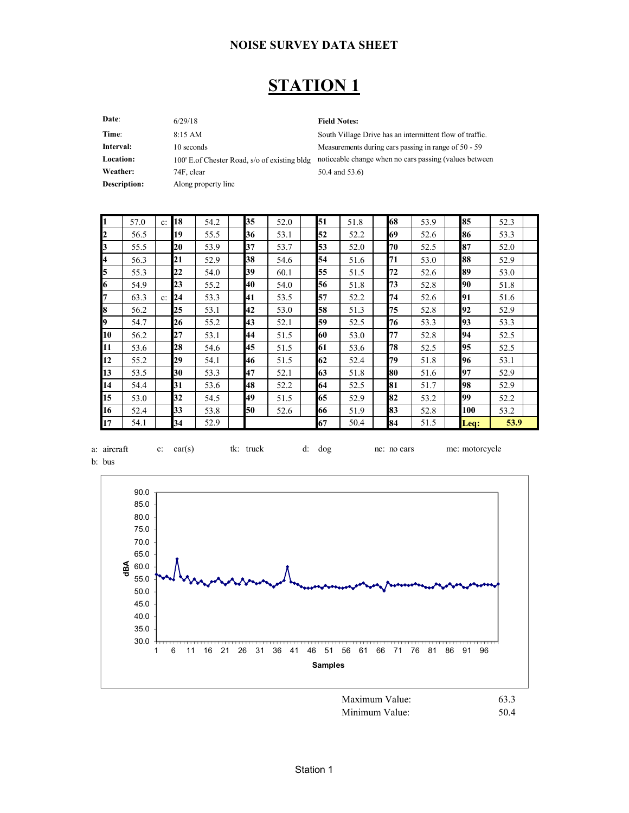### **STATION 1**

| Date:        | 6/29/18                                       | <b>Field Notes:</b>    |
|--------------|-----------------------------------------------|------------------------|
| Time:        | 8:15 AM                                       | South Village Drive ha |
| Interval:    | 10 seconds                                    | Measurements during o  |
| Location:    | 100' E. of Chester Road, s/o of existing bldg | noticeable change whe  |
| Weather:     | 74F, clear                                    | 50.4 and 53.6)         |
| Description: | Along property line                           |                        |
|              |                                               |                        |

as an intermittent flow of traffic. cars passing in range of 50 - 59 en no cars passing (values between

|    | 57.0 | $\mathbf{c}$ : | 18 | 54.2 | 35 | 52.0 | 51 | 51.8 | 68 | 53.9 | 85     | 52.3 |  |
|----|------|----------------|----|------|----|------|----|------|----|------|--------|------|--|
| 2  | 56.5 |                | 19 | 55.5 | 36 | 53.1 | 52 | 52.2 | 69 | 52.6 | 86     | 53.3 |  |
|    | 55.5 |                | 20 | 53.9 | 37 | 53.7 | 53 | 52.0 | 70 | 52.5 | 87     | 52.0 |  |
| 4  | 56.3 |                | 21 | 52.9 | 38 | 54.6 | 54 | 51.6 | 71 | 53.0 | 88     | 52.9 |  |
| 5  | 55.3 |                | 22 | 54.0 | 39 | 60.1 | 55 | 51.5 | 72 | 52.6 | 89     | 53.0 |  |
| 6  | 54.9 |                | 23 | 55.2 | 40 | 54.0 | 56 | 51.8 | 73 | 52.8 | 90     | 51.8 |  |
|    | 63.3 | $c$ :          | 24 | 53.3 | 41 | 53.5 | 57 | 52.2 | 74 | 52.6 | 91     | 51.6 |  |
| 8  | 56.2 |                | 25 | 53.1 | 42 | 53.0 | 58 | 51.3 | 75 | 52.8 | 92     | 52.9 |  |
| 9  | 54.7 |                | 26 | 55.2 | 43 | 52.1 | 59 | 52.5 | 76 | 53.3 | 93     | 53.3 |  |
| 10 | 56.2 |                | 27 | 53.1 | 44 | 51.5 | 60 | 53.0 | 77 | 52.8 | 94     | 52.5 |  |
| 11 | 53.6 |                | 28 | 54.6 | 45 | 51.5 | 61 | 53.6 | 78 | 52.5 | 95     | 52.5 |  |
| 12 | 55.2 |                | 29 | 54.1 | 46 | 51.5 | 62 | 52.4 | 79 | 51.8 | 96     | 53.1 |  |
| 13 | 53.5 |                | 30 | 53.3 | 47 | 52.1 | 63 | 51.8 | 80 | 51.6 | 97     | 52.9 |  |
| 14 | 54.4 |                | 31 | 53.6 | 48 | 52.2 | 64 | 52.5 | 81 | 51.7 | 98     | 52.9 |  |
| 15 | 53.0 |                | 32 | 54.5 | 49 | 51.5 | 65 | 52.9 | 82 | 53.2 | 99     | 52.2 |  |
| 16 | 52.4 |                | 33 | 53.8 | 50 | 52.6 | 66 | 51.9 | 83 | 52.8 | 100    | 53.2 |  |
| 17 | 54.1 |                | 34 | 52.9 |    |      | 67 | 50.4 | 84 | 51.5 | $Leg:$ | 53.9 |  |



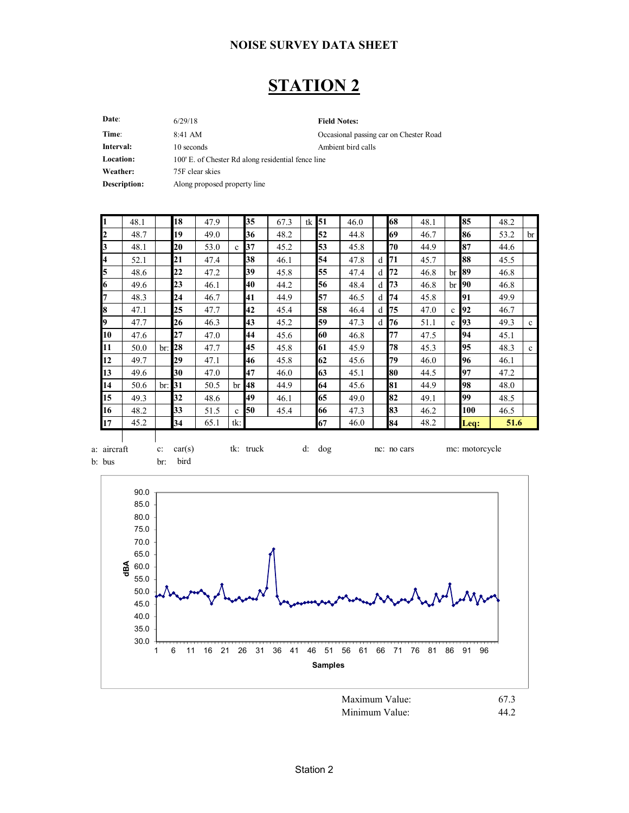### **STATION 2**

**Date**: 6/29/18 **Field Notes:** Time: 8:41 AM 8:41 AM Cocasional passing car on Chester Road **Interval:** 10 seconds Ambient bird calls Location: 100' E. of Chester Rd along residential fence line **Weather:** 75F clear skies **Description:** Along proposed property line 6/29/18 8:41 AM

| I1        | 48.1 |     | 18 | 47.9 |              | 35        | 67.3 | tk | 51 | 46.0 |              | 68 | 48.1 |              | 85              | 48.2 |              |
|-----------|------|-----|----|------|--------------|-----------|------|----|----|------|--------------|----|------|--------------|-----------------|------|--------------|
| 12        | 48.7 |     | 19 | 49.0 |              | 36        | 48.2 |    | 52 | 44.8 |              | 69 | 46.7 |              | 86              | 53.2 | br           |
| 3         | 48.1 |     | 20 | 53.0 | $\mathbf{C}$ | 37        | 45.2 |    | 53 | 45.8 |              | 70 | 44.9 |              | 87              | 44.6 |              |
| 4         | 52.1 |     | 21 | 47.4 |              | 38        | 46.1 |    | 54 | 47.8 | d            | 71 | 45.7 |              | 88              | 45.5 |              |
| 5         | 48.6 |     | 22 | 47.2 |              | 39        | 45.8 |    | 55 | 47.4 | d            | 72 | 46.8 | br           | 89              | 46.8 |              |
| 6         | 49.6 |     | 23 | 46.1 |              | 40        | 44.2 |    | 56 | 48.4 | d            | 73 | 46.8 | br           | <b>190</b>      | 46.8 |              |
| 7         | 48.3 |     | 24 | 46.7 |              | 41        | 44.9 |    | 57 | 46.5 | d            | 74 | 45.8 |              | 91              | 49.9 |              |
| l8        | 47.1 |     | 25 | 47.7 |              | 42        | 45.4 |    | 58 | 46.4 | d            | 75 | 47.0 | $\mathbf{c}$ | 92              | 46.7 |              |
| l9        | 47.7 |     | 26 | 46.3 |              | 43        | 45.2 |    | 59 | 47.3 | <sub>d</sub> | 76 | 51.1 | $\mathbf c$  | 93              | 49.3 | $\mathbf c$  |
| 10        | 47.6 |     | 27 | 47.0 |              | 44        | 45.6 |    | 60 | 46.8 |              | 77 | 47.5 |              | 94              | 45.1 |              |
| <b>11</b> | 50.0 | br: | 28 | 47.7 |              | 45        | 45.8 |    | 61 | 45.9 |              | 78 | 45.3 |              | 95              | 48.3 | $\mathbf{c}$ |
| 12        | 49.7 |     | 29 | 47.1 |              | 46        | 45.8 |    | 62 | 45.6 |              | 79 | 46.0 |              | 96              | 46.1 |              |
| 13        | 49.6 |     | 30 | 47.0 |              | 47        | 46.0 |    | 63 | 45.1 |              | 80 | 44.5 |              | 97              | 47.2 |              |
| 14        | 50.6 | br: | 31 | 50.5 | br           | <b>48</b> | 44.9 |    | 64 | 45.6 |              | 81 | 44.9 |              | 98              | 48.0 |              |
| 15        | 49.3 |     | 32 | 48.6 |              | 49        | 46.1 |    | 65 | 49.0 |              | 82 | 49.1 |              | 99              | 48.5 |              |
| 16        | 48.2 |     | 33 | 51.5 | $\mathbf{c}$ | 50        | 45.4 |    | 66 | 47.3 |              | 83 | 46.2 |              | 100             | 46.5 |              |
| 17        | 45.2 |     | 34 | 65.1 | tk: I        |           |      |    | 67 | 46.0 |              | 84 | 48.2 |              | $\mathbf{Leq:}$ | 51.6 |              |

a: aircraft c: car(s) tk: truck d: dog nc: no cars mc: motorcycle b: bus br: bird

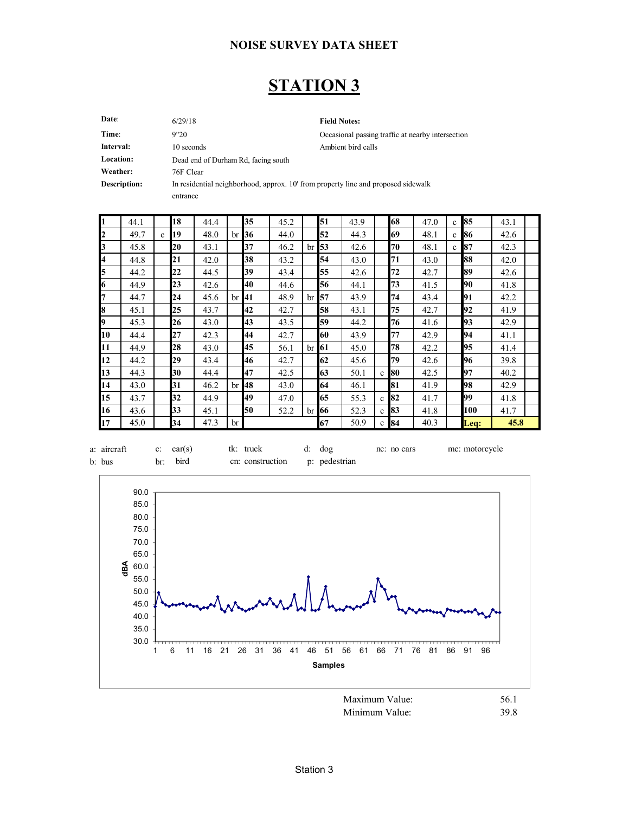## **STATION 3**

| Date:        | 6/29/18                             | <b>Field Notes:</b>                                                               |
|--------------|-------------------------------------|-----------------------------------------------------------------------------------|
| Time:        | 9"20                                | Occasional passing traffic at nearby intersection                                 |
| Interval:    | 10 seconds                          | Ambient bird calls                                                                |
| Location:    | Dead end of Durham Rd, facing south |                                                                                   |
| Weather:     | 76F Clear                           |                                                                                   |
| Description: |                                     | In residential neighborhood, approx. 10' from property line and proposed sidewalk |
|              | entrance                            |                                                                                   |
|              |                                     |                                                                                   |

 $\mathbf{r}$ 

| I1 | 44.1 |              | 18 | 44.4 |    | 35 | 45.2 |              | 51          | 43.9 |              | 68     | 47.0 | $\mathbf{c}$ | 85   | 43.1 |  |
|----|------|--------------|----|------|----|----|------|--------------|-------------|------|--------------|--------|------|--------------|------|------|--|
| 12 | 49.7 | $\mathbf{c}$ | 19 | 48.0 | br | 36 | 44.0 |              | 52          | 44.3 |              | 69     | 48.1 | $\mathbf{c}$ | 86   | 42.6 |  |
| 3  | 45.8 |              | 20 | 43.1 |    | 37 | 46.2 | br           | 53          | 42.6 |              | 70     | 48.1 | $\mathbf{c}$ | 87   | 42.3 |  |
| 4  | 44.8 |              | 21 | 42.0 |    | 38 | 43.2 |              | 54          | 43.0 |              | 71     | 43.0 |              | 88   | 42.0 |  |
| 5  | 44.2 |              | 22 | 44.5 |    | 39 | 43.4 |              | 55          | 42.6 |              | 72     | 42.7 |              | 89   | 42.6 |  |
| 16 | 44.9 |              | 23 | 42.6 |    | 40 | 44.6 |              | 56          | 44.1 |              | 73     | 41.5 |              | 90   | 41.8 |  |
| 7  | 44.7 |              | 24 | 45.6 | br | 41 | 48.9 | br           | 57          | 43.9 |              | 74     | 43.4 |              | 91   | 42.2 |  |
| 8  | 45.1 |              | 25 | 43.7 |    | 42 | 42.7 |              | 58          | 43.1 |              | 75     | 42.7 |              | 92   | 41.9 |  |
| I9 | 45.3 |              | 26 | 43.0 |    | 43 | 43.5 |              | 59          | 44.2 |              | 76     | 41.6 |              | 93   | 42.9 |  |
| 10 | 44.4 |              | 27 | 42.3 |    | 44 | 42.7 |              | 60          | 43.9 |              | 77     | 42.9 |              | 94   | 41.1 |  |
| 11 | 44.9 |              | 28 | 43.0 |    | 45 | 56.1 | $\rm{br}$ 61 |             | 45.0 |              | 78     | 42.2 |              | 95   | 41.4 |  |
| 12 | 44.2 |              | 29 | 43.4 |    | 46 | 42.7 |              | 62          | 45.6 |              | 79     | 42.6 |              | 96   | 39.8 |  |
| 13 | 44.3 |              | 30 | 44.4 |    | 47 | 42.5 |              | 63          | 50.1 | $\mathbf{c}$ | 80     | 42.5 |              | 97   | 40.2 |  |
| 14 | 43.0 |              | 31 | 46.2 | br | 48 | 43.0 |              | 64          | 46.1 |              | 81     | 41.9 |              | 98   | 42.9 |  |
| 15 | 43.7 |              | 32 | 44.9 |    | 49 | 47.0 |              | 65          | 55.3 | $\mathbf{c}$ | 82     | 41.7 |              | 99   | 41.8 |  |
| 16 | 43.6 |              | 33 | 45.1 |    | 50 | 52.2 |              | $\rm br$ 66 | 52.3 | $\mathbf{c}$ | 83     | 41.8 |              | 100  | 41.7 |  |
| 17 | 45.0 |              | 34 | 47.3 | br |    |      |              | 67          | 50.9 |              | $c$ 84 | 40.3 |              | Leq: | 45.8 |  |



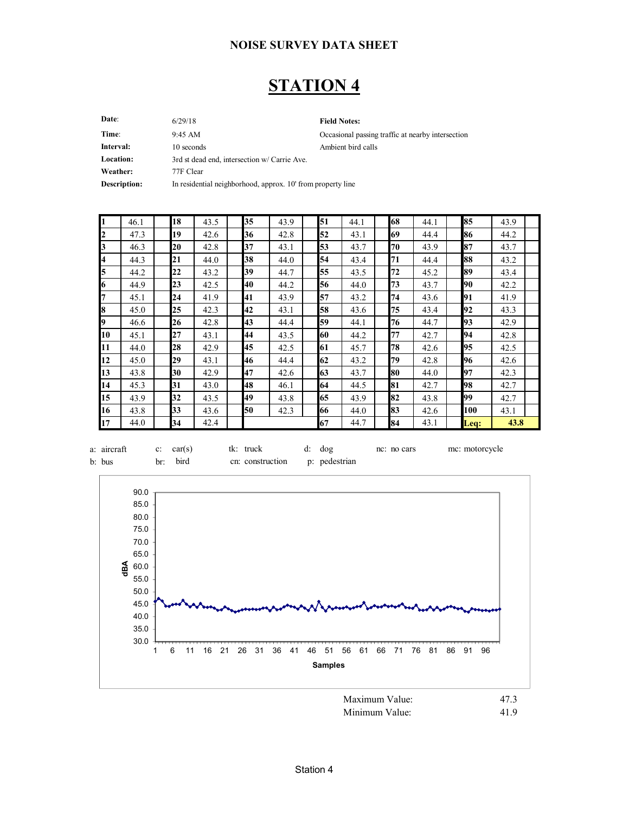### **STATION 4**

Date: 6/29/18 Field Notes: 6/29/18

**Time**: 9:45 AM 9:45 Occasional passing traffic at nearby intersection **Interval:** 10 seconds Ambient bird calls **Location:** 3rd st dead end, intersection w/ Carrie Ave. **Weather:** 77F Clear **Description:** In residential neighborhood, approx. 10' from property line 9:45 AM

| I1                      | 46.1 | 18 | 43.5 | 35 | 43.9 | 51 | 44.1 | 68 | 44.1 | 85   | 43.9 |  |
|-------------------------|------|----|------|----|------|----|------|----|------|------|------|--|
| $\overline{2}$          | 47.3 | 19 | 42.6 | 36 | 42.8 | 52 | 43.1 | 69 | 44.4 | 86   | 44.2 |  |
| 13                      | 46.3 | 20 | 42.8 | 37 | 43.1 | 53 | 43.7 | 70 | 43.9 | 87   | 43.7 |  |
| $\overline{\mathbf{4}}$ | 44.3 | 21 | 44.0 | 38 | 44.0 | 54 | 43.4 | 71 | 44.4 | 88   | 43.2 |  |
| 5                       | 44.2 | 22 | 43.2 | 39 | 44.7 | 55 | 43.5 | 72 | 45.2 | 89   | 43.4 |  |
| 6                       | 44.9 | 23 | 42.5 | 40 | 44.2 | 56 | 44.0 | 73 | 43.7 | 90   | 42.2 |  |
| 7                       | 45.1 | 24 | 41.9 | 41 | 43.9 | 57 | 43.2 | 74 | 43.6 | 91   | 41.9 |  |
| 8                       | 45.0 | 25 | 42.3 | 42 | 43.1 | 58 | 43.6 | 75 | 43.4 | 92   | 43.3 |  |
| I9                      | 46.6 | 26 | 42.8 | 43 | 44.4 | 59 | 44.1 | 76 | 44.7 | 93   | 42.9 |  |
| 10                      | 45.1 | 27 | 43.1 | 44 | 43.5 | 60 | 44.2 | 77 | 42.7 | 94   | 42.8 |  |
| 11                      | 44.0 | 28 | 42.9 | 45 | 42.5 | 61 | 45.7 | 78 | 42.6 | 95   | 42.5 |  |
| 12                      | 45.0 | 29 | 43.1 | 46 | 44.4 | 62 | 43.2 | 79 | 42.8 | 96   | 42.6 |  |
| 13                      | 43.8 | 30 | 42.9 | 47 | 42.6 | 63 | 43.7 | 80 | 44.0 | 97   | 42.3 |  |
| 14                      | 45.3 | 31 | 43.0 | 48 | 46.1 | 64 | 44.5 | 81 | 42.7 | 98   | 42.7 |  |
| 15                      | 43.9 | 32 | 43.5 | 49 | 43.8 | 65 | 43.9 | 82 | 43.8 | 99   | 42.7 |  |
| 16                      | 43.8 | 33 | 43.6 | 50 | 42.3 | 66 | 44.0 | 83 | 42.6 | 100  | 43.1 |  |
| 17                      | 44.0 | 34 | 42.4 |    |      | 67 | 44.7 | 84 | 43.1 | Leq: | 43.8 |  |





Minimum Value: 41.9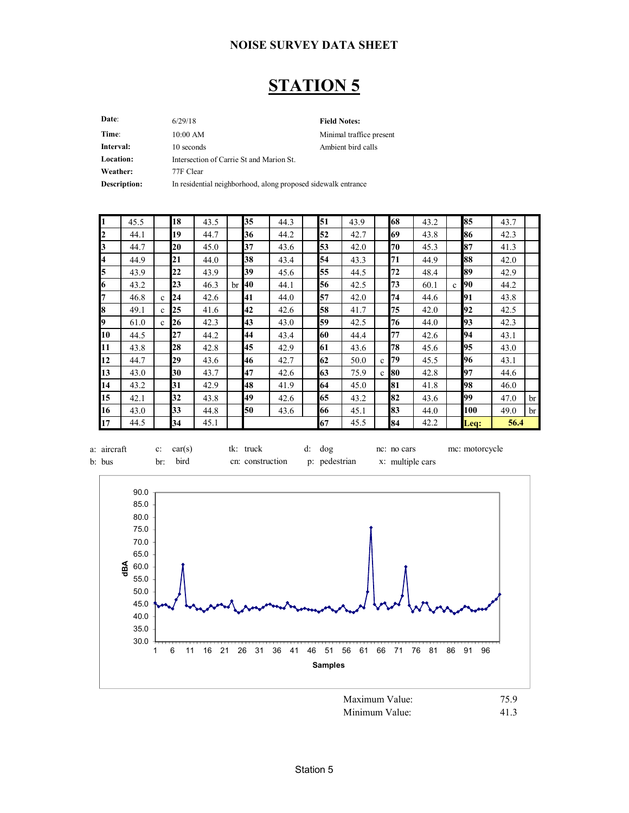### **STATION 5**

Date: 6/29/18 Field Notes: **Time**: 10:00 AM Minimal traffice present **Interval:** 10 seconds Ambient bird calls **Location:** Intersection of Carrie St and Marion St. **Weather:** 77F Clear **Description:** In residential neighborhood, along proposed sidewalk entrance 6/29/18 10:00 AM

| $\vert$ 1               | 45.5 |              | 18 | 43.5 |    | 35 | 44.3 | 51 | 43.9 |              | 68 | 43.2 |              | 85   | 43.7 |          |
|-------------------------|------|--------------|----|------|----|----|------|----|------|--------------|----|------|--------------|------|------|----------|
| $\overline{2}$          | 44.1 |              | 19 | 44.7 |    | 36 | 44.2 | 52 | 42.7 |              | 69 | 43.8 |              | 86   | 42.3 |          |
| $\mathbf{E}$            | 44.7 |              | 20 | 45.0 |    | 37 | 43.6 | 53 | 42.0 |              | 70 | 45.3 |              | 87   | 41.3 |          |
| $\overline{4}$          | 44.9 |              | 21 | 44.0 |    | 38 | 43.4 | 54 | 43.3 |              | 71 | 44.9 |              | 88   | 42.0 |          |
| $\overline{\mathbf{5}}$ | 43.9 |              | 22 | 43.9 |    | 39 | 45.6 | 55 | 44.5 |              | 72 | 48.4 |              | 89   | 42.9 |          |
| $\boldsymbol{6}$        | 43.2 |              | 23 | 46.3 | br | 40 | 44.1 | 56 | 42.5 |              | 73 | 60.1 | $\mathbf{c}$ | 90   | 44.2 |          |
| $\overline{7}$          | 46.8 | $\mathbf{c}$ | 24 | 42.6 |    | 41 | 44.0 | 57 | 42.0 |              | 74 | 44.6 |              | 91   | 43.8 |          |
| $\overline{\mathbf{8}}$ | 49.1 | $\mathbf c$  | 25 | 41.6 |    | 42 | 42.6 | 58 | 41.7 |              | 75 | 42.0 |              | 92   | 42.5 |          |
| þ,                      | 61.0 | $\mathbf{c}$ | 26 | 42.3 |    | 43 | 43.0 | 59 | 42.5 |              | 76 | 44.0 |              | 93   | 42.3 |          |
| 10                      | 44.5 |              | 27 | 44.2 |    | 44 | 43.4 | 60 | 44.4 |              | 77 | 42.6 |              | 94   | 43.1 |          |
| 11                      | 43.8 |              | 28 | 42.8 |    | 45 | 42.9 | 61 | 43.6 |              | 78 | 45.6 |              | 95   | 43.0 |          |
| 12                      | 44.7 |              | 29 | 43.6 |    | 46 | 42.7 | 62 | 50.0 | c            | 79 | 45.5 |              | 96   | 43.1 |          |
| 13                      | 43.0 |              | 30 | 43.7 |    | 47 | 42.6 | 63 | 75.9 | $\mathbf{c}$ | 80 | 42.8 |              | 97   | 44.6 |          |
| 14                      | 43.2 |              | 31 | 42.9 |    | 48 | 41.9 | 64 | 45.0 |              | 81 | 41.8 |              | 98   | 46.0 |          |
| 15                      | 42.1 |              | 32 | 43.8 |    | 49 | 42.6 | 65 | 43.2 |              | 82 | 43.6 |              | 99   | 47.0 | br       |
| 16                      | 43.0 |              | 33 | 44.8 |    | 50 | 43.6 | 66 | 45.1 |              | 83 | 44.0 |              | 100  | 49.0 | $\rm br$ |
| 17                      | 44.5 |              | 34 | 45.1 |    |    |      | 67 | 45.5 |              | 84 | 42.2 |              | Leq: | 56.4 |          |





Station 5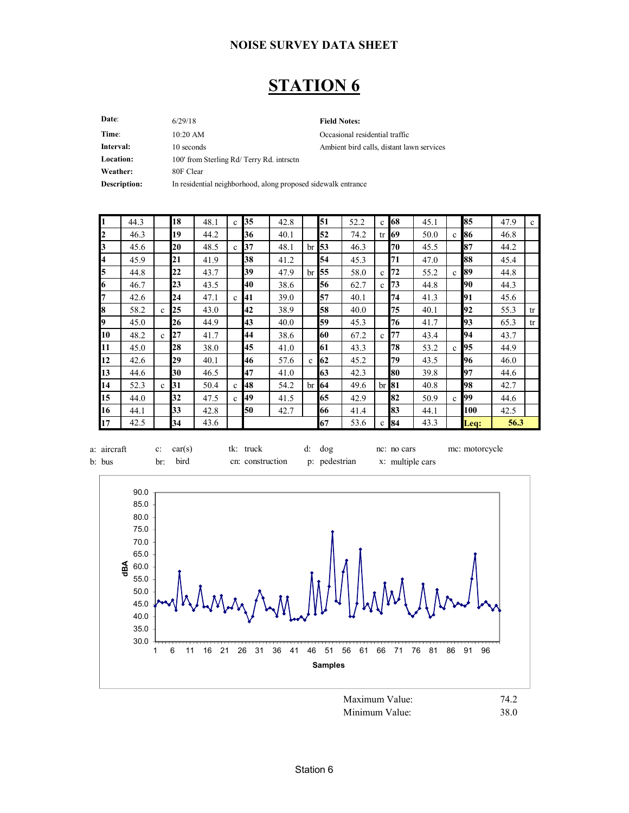### **STATION 6**

Date: 6/29/18 Field Notes: Time:  $10:20$  AM Occasional residential traffic **Interval:** 10 seconds 10 seconds Ambient bird calls, distant lawn services Location: 100' from Sterling Rd/ Terry Rd. intrsctn **Weather:** 80F Clear **Description:** In residential neighborhood, along proposed sidewalk entrance 6/29/18 10:20 AM

| $\mathbf{1}$   | 44.3 |              | 18 | 48.1 | $\mathbf{c}$ | 35 | 42.8 |             | 51          | 52.2 | $\mathbf c$  | 68          | 45.1 |              | 85   | 47.9 | $\mathbf{c}$ |
|----------------|------|--------------|----|------|--------------|----|------|-------------|-------------|------|--------------|-------------|------|--------------|------|------|--------------|
| $\mathbf{z}$   | 46.3 |              | 19 | 44.2 |              | 36 | 40.1 |             | 52          | 74.2 | tr           | 69          | 50.0 | $\mathbf{c}$ | 86   | 46.8 |              |
| $\mathbf{E}$   | 45.6 |              | 20 | 48.5 | $\mathbf{c}$ | 37 | 48.1 |             | $\rm br$ 53 | 46.3 |              | 70          | 45.5 |              | 87   | 44.2 |              |
| $\overline{A}$ | 45.9 |              | 21 | 41.9 |              | 38 | 41.2 |             | 54          | 45.3 |              | 71          | 47.0 |              | 88   | 45.4 |              |
| 5              | 44.8 |              | 22 | 43.7 |              | 39 | 47.9 | br          | 55          | 58.0 | $\mathbf{c}$ | 72          | 55.2 | $\mathbf{c}$ | 89   | 44.8 |              |
| 6              | 46.7 |              | 23 | 43.5 |              | 40 | 38.6 |             | 56          | 62.7 | c            | 73          | 44.8 |              | 90   | 44.3 |              |
| 7              | 42.6 |              | 24 | 47.1 | $\mathbf{c}$ | 41 | 39.0 |             | 57          | 40.1 |              | 74          | 41.3 |              | 91   | 45.6 |              |
| 8              | 58.2 | $\mathbf{c}$ | 25 | 43.0 |              | 42 | 38.9 |             | 58          | 40.0 |              | 75          | 40.1 |              | 92   | 55.3 | tr           |
| 9              | 45.0 |              | 26 | 44.9 |              | 43 | 40.0 |             | 59          | 45.3 |              | 76          | 41.7 |              | 93   | 65.3 | tr           |
| 10             | 48.2 | $\mathbf c$  | 27 | 41.7 |              | 44 | 38.6 |             | 60          | 67.2 | c            | 77          | 43.4 |              | 94   | 43.7 |              |
| 11             | 45.0 |              | 28 | 38.0 |              | 45 | 41.0 |             | 61          | 43.3 |              | 78          | 53.2 | $\mathbf{c}$ | 95   | 44.9 |              |
| 12             | 42.6 |              | 29 | 40.1 |              | 46 | 57.6 | $\mathbf c$ | 62          | 45.2 |              | 79          | 43.5 |              | 96   | 46.0 |              |
| 13             | 44.6 |              | 30 | 46.5 |              | 47 | 41.0 |             | 63          | 42.3 |              | 80          | 39.8 |              | 97   | 44.6 |              |
| 14             | 52.3 | $\mathbf c$  | 31 | 50.4 | $\mathbf{c}$ | 48 | 54.2 |             | $\rm br$ 64 | 49.6 |              | $\rm br$ 81 | 40.8 |              | 98   | 42.7 |              |
| 15             | 44.0 |              | 32 | 47.5 | $\mathbf{c}$ | 49 | 41.5 |             | 65          | 42.9 |              | 82          | 50.9 | $\mathbf{c}$ | 99   | 44.6 |              |
| 16             | 44.1 |              | 33 | 42.8 |              | 50 | 42.7 |             | 66          | 41.4 |              | 83          | 44.1 |              | 100  | 42.5 |              |
| 17             | 42.5 |              | 34 | 43.6 |              |    |      |             | 67          | 53.6 | $\mathbf{c}$ | 84          | 43.3 |              | Leq: | 56.3 |              |





Minimum Value: 38.0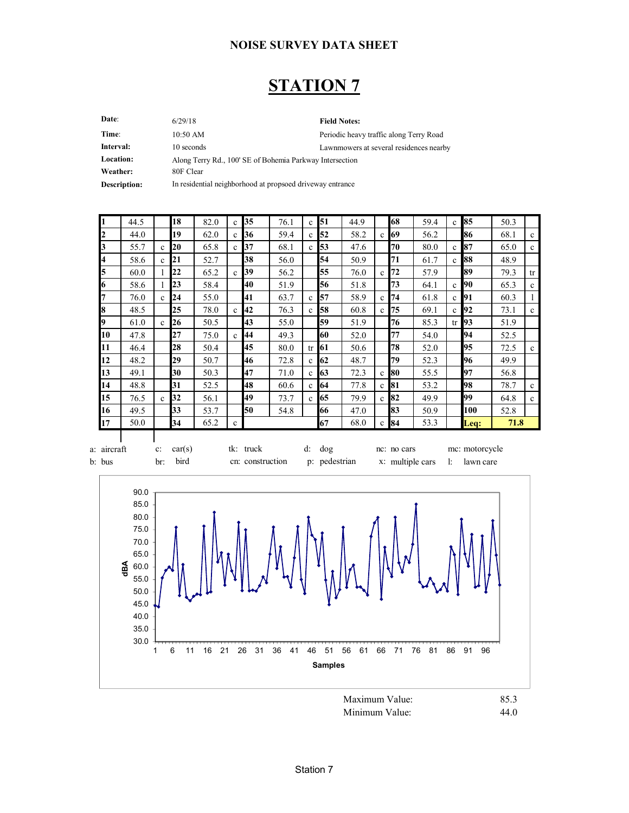### **STATION 7**

| Date:            | 6/29/18                                                   | <b>Field Notes:</b>                     |
|------------------|-----------------------------------------------------------|-----------------------------------------|
| Time:            | $10:50$ AM                                                | Periodic heavy traffic along Terry Road |
| Interval:        | 10 seconds                                                | Lawnmowers at several residences nearby |
| <b>Location:</b> | Along Terry Rd., 100' SE of Bohemia Parkway Intersection  |                                         |
| Weather:         | 80F Clear                                                 |                                         |
| Description:     | In residential neighborhood at propsoed driveway entrance |                                         |

| 1           | 44.5 |              | 18     | 82.0 | $\mathbf{c}$ | 35        | 76.1 | $\mathbf{c}$  | $\mathbf{5}1$ | 44.9 |              | 68          | 59.4 | $\mathbf{c}$ | 85             | 50.3 |             |
|-------------|------|--------------|--------|------|--------------|-----------|------|---------------|---------------|------|--------------|-------------|------|--------------|----------------|------|-------------|
| 2           | 44.0 |              | 19     | 62.0 | $\mathbf{c}$ | 36        | 59.4 | $\mathbf{c}$  | 52            | 58.2 | $\mathbf{c}$ | 69          | 56.2 |              | 86             | 68.1 | $\mathbf c$ |
| 3           | 55.7 | $\mathbf c$  | 20     | 65.8 | $\mathbf{c}$ | 37        | 68.1 | $\mathbf{c}$  | 53            | 47.6 |              | 70          | 80.0 | $\mathbf{c}$ | 87             | 65.0 | $\mathbf c$ |
| 4           | 58.6 | $\mathbf{c}$ | 21     | 52.7 |              | 38        | 56.0 |               | 54            | 50.9 |              | 71          | 61.7 | $\mathbf{c}$ | 88             | 48.9 |             |
| 5           | 60.0 |              | 22     | 65.2 | $\mathbf{c}$ | 39        | 56.2 |               | 55            | 76.0 | $\mathbf{c}$ | 72          | 57.9 |              | 89             | 79.3 | tr          |
| 6           | 58.6 |              | 23     | 58.4 |              | 40        | 51.9 |               | 56            | 51.8 |              | 73          | 64.1 | $\mathbf{c}$ | 90             | 65.3 | $\mathbf c$ |
| 7           | 76.0 | $\mathbf{c}$ | 24     | 55.0 |              | 41        | 63.7 | $\mathbf{c}$  | 57            | 58.9 | $\mathbf{c}$ | 74          | 61.8 | $\mathbf{c}$ | 91             | 60.3 |             |
| 8           | 48.5 |              | 25     | 78.0 | $\mathbf{c}$ | 42        | 76.3 | $\mathbf{c}$  | <b>58</b>     | 60.8 | $\mathbf{c}$ | 75          | 69.1 | $\mathbf{c}$ | 92             | 73.1 | $\mathbf c$ |
| 9           | 61.0 | $\mathbf{c}$ | 26     | 50.5 |              | 43        | 55.0 |               | 59            | 51.9 |              | 76          | 85.3 | tr           | <b>93</b>      | 51.9 |             |
| 10          | 47.8 |              | 27     | 75.0 | $\mathbf{c}$ | 44        | 49.3 |               | 60            | 52.0 |              | 77          | 54.0 |              | 94             | 52.5 |             |
| 11          | 46.4 |              | 28     | 50.4 |              | 45        | 80.0 | <sub>tr</sub> | <b>61</b>     | 50.6 |              | 78          | 52.0 |              | 95             | 72.5 | $\mathbf c$ |
| 12          | 48.2 |              | 29     | 50.7 |              | 46        | 72.8 | $\mathbf{c}$  | <b>62</b>     | 48.7 |              | 79          | 52.3 |              | 96             | 49.9 |             |
| 13          | 49.1 |              | 30     | 50.3 |              | 47        | 71.0 | $\mathbf{c}$  | 63            | 72.3 | $\mathbf{c}$ | 80          | 55.5 |              | 97             | 56.8 |             |
| 14          | 48.8 |              | 31     | 52.5 |              | 48        | 60.6 | $\mathbf{c}$  | 64            | 77.8 | $\mathbf{c}$ | 81          | 53.2 |              | 98             | 78.7 | $\mathbf c$ |
| 15          | 76.5 | $\mathbf c$  | 32     | 56.1 |              | 49        | 73.7 | $\mathbf{c}$  | 65            | 79.9 | $\mathbf{c}$ | 82          | 49.9 |              | 99             | 64.8 | $\mathbf c$ |
| 16          | 49.5 |              | 33     | 53.7 |              | 50        | 54.8 |               | 66            | 47.0 |              | 83          | 50.9 |              | 100            | 52.8 |             |
| 17          | 50.0 |              | 34     | 65.2 | $\mathbf c$  |           |      |               | 67            | 68.0 | $\mathbf c$  | 84          | 53.3 |              | Leq:           | 71.8 |             |
| a: aircraft |      | $c$ :        | car(s) |      |              | tk: truck |      |               | d: dog        |      |              | nc: no cars |      |              | mc: motorcycle |      |             |



b: bus br: bird cn: construction p: pedestrian x: multiple cars l: lawn care

Minimum Value: 44.0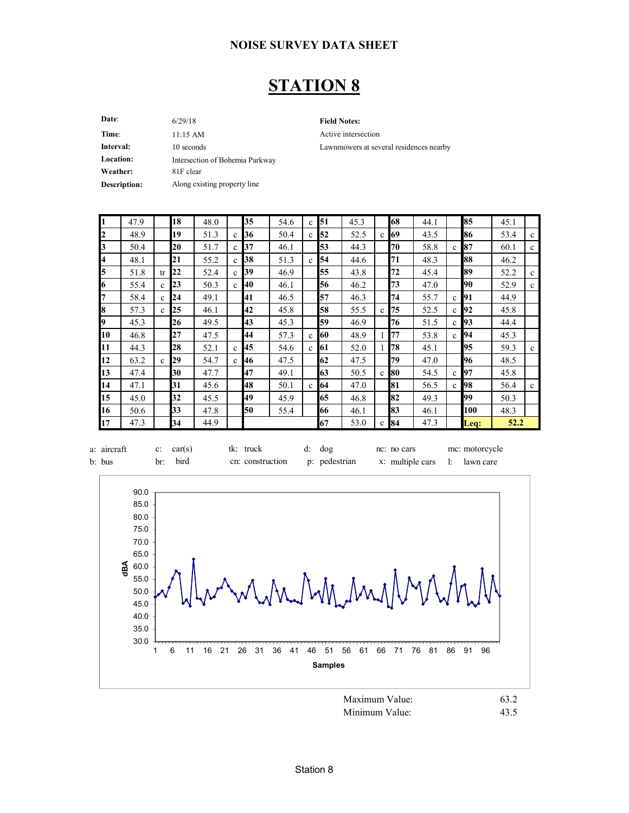### **STATION 8**

**Date**: 6/29/18 11:15 AM

**Field Notes:**

Active intersection Lawnmowers at several residences nearby

| Time:            | $11:15 \text{ AM}$              |
|------------------|---------------------------------|
| Interval:        | 10 seconds                      |
| <b>Location:</b> | Intersection of Bohemia Parkway |
| Weather:         | 81F clear                       |
| Description:     | Along existing property line    |

| 1  | 47.9 |              | 18 | 48.0 |              | 35 | 54.6 | $\mathbf c$  | 51 | 45.3 |              | 68     | 44.1 |              | 85   | 45.1 |              |
|----|------|--------------|----|------|--------------|----|------|--------------|----|------|--------------|--------|------|--------------|------|------|--------------|
| 2  | 48.9 |              | 19 | 51.3 | $\mathbf c$  | 36 | 50.4 | $\mathbf c$  | 52 | 52.5 | $\mathbf c$  | 69     | 43.5 |              | 86   | 53.4 | $\mathbf{c}$ |
| 3  | 50.4 |              | 20 | 51.7 | $\mathbf{c}$ | 37 | 46.1 |              | 53 | 44.3 |              | 70     | 58.8 | $\mathbf{c}$ | 87   | 60.1 | $\mathbf{c}$ |
| 4  | 48.1 |              | 21 | 55.2 | $\mathbf{c}$ | 38 | 51.3 | $\mathbf{c}$ | 54 | 44.6 |              | 71     | 48.3 |              | 88   | 46.2 |              |
| 5  | 51.8 | tr           | 22 | 52.4 | $\mathbf{c}$ | 39 | 46.9 |              | 55 | 43.8 |              | 72     | 45.4 |              | 89   | 52.2 | $\mathbf{c}$ |
| 6  | 55.4 | $\mathbf{c}$ | 23 | 50.3 | c            | 40 | 46.1 |              | 56 | 46.2 |              | 73     | 47.0 |              | 90   | 52.9 | $\mathbf{c}$ |
|    | 58.4 | $\mathbf{c}$ | 24 | 49.1 |              | 41 | 46.5 |              | 57 | 46.3 |              | 74     | 55.7 | $\mathbf{c}$ | 91   | 44.9 |              |
| 18 | 57.3 | $\mathbf{c}$ | 25 | 46.1 |              | 42 | 45.8 |              | 58 | 55.5 | $\mathbf{c}$ | 75     | 52.5 | $\mathbf{c}$ | 92   | 45.8 |              |
| 9  | 45.3 |              | 26 | 49.5 |              | 43 | 45.3 |              | 59 | 46.9 |              | 76     | 51.5 | $\mathbf{c}$ | 93   | 44.4 |              |
| 10 | 46.8 |              | 27 | 47.5 |              | 44 | 57.3 | $\mathbf{c}$ | 60 | 48.9 |              | 77     | 53.8 | $\mathbf{c}$ | 94   | 45.3 |              |
| 11 | 44.3 |              | 28 | 52.1 | $\mathbf{c}$ | 45 | 54.6 | $\mathbf{c}$ | 61 | 52.0 | 1            | 78     | 45.1 |              | 95   | 59.3 | $\mathbf{c}$ |
| 12 | 63.2 | $\mathbf c$  | 29 | 54.7 | $\mathbf c$  | 46 | 47.5 |              | 62 | 47.5 |              | 79     | 47.0 |              | 96   | 48.5 |              |
| 13 | 47.4 |              | 30 | 47.7 |              | 47 | 49.1 |              | 63 | 50.5 | $\mathbf{c}$ | 80     | 54.5 | $\mathbf{c}$ | 97   | 45.8 |              |
| 14 | 47.1 |              | 31 | 45.6 |              | 48 | 50.1 | $\mathbf{c}$ | 64 | 47.0 |              | 81     | 56.5 | $\mathbf{c}$ | 98   | 56.4 | $\mathbf{c}$ |
| 15 | 45.0 |              | 32 | 45.5 |              | 49 | 45.9 |              | 65 | 46.8 |              | 82     | 49.3 |              | 99   | 50.3 |              |
| 16 | 50.6 |              | 33 | 47.8 |              | 50 | 55.4 |              | 66 | 46.1 |              | 83     | 46.1 |              | 100  | 48.3 |              |
| 17 | 47.3 |              | 34 | 44.9 |              |    |      |              | 67 | 53.0 |              | $c$ 84 | 47.3 |              | Leq: | 52.2 |              |





Minimum Value: 43.5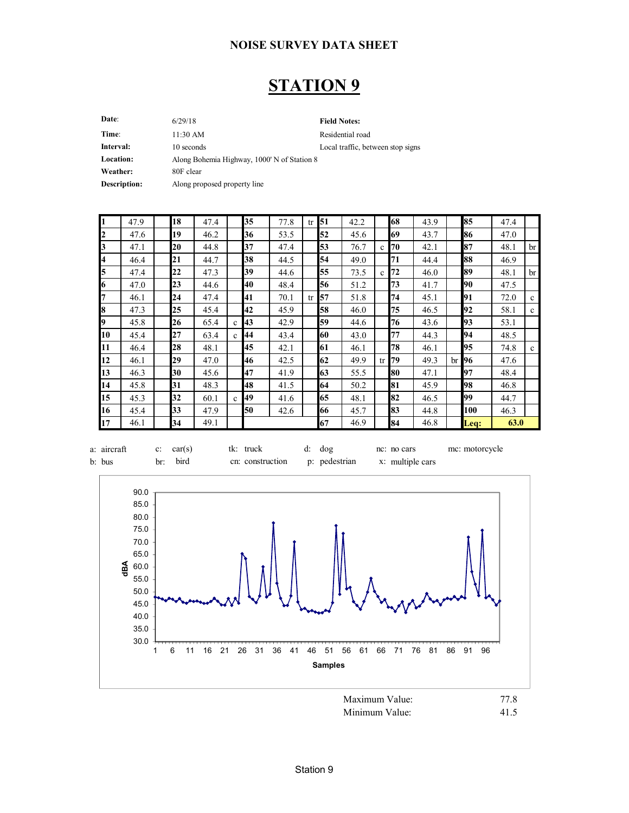## **STATION 9**

| Date:               | 6/29/18                                     | <b>Field Notes:</b>               |
|---------------------|---------------------------------------------|-----------------------------------|
| Time:               | 11:30 AM                                    | Residential road                  |
| Interval:           | 10 seconds                                  | Local traffic, between stop signs |
| Location:           | Along Bohemia Highway, 1000' N of Station 8 |                                   |
| Weather:            | 80F clear                                   |                                   |
| <b>Description:</b> | Along proposed property line                |                                   |
|                     |                                             |                                   |

| I1               | 47.9 | 18 | 47.4 |              | 35 | 77.8 | tr <sub>1</sub> | 51 | 42.2 |              | 68 | 43.9 |    | 85               | 47.4 |             |
|------------------|------|----|------|--------------|----|------|-----------------|----|------|--------------|----|------|----|------------------|------|-------------|
| $\boldsymbol{z}$ | 47.6 | 19 | 46.2 |              | 36 | 53.5 |                 | 52 | 45.6 |              | 69 | 43.7 |    | 86               | 47.0 |             |
| $\mathbf{E}$     | 47.1 | 20 | 44.8 |              | 37 | 47.4 |                 | 53 | 76.7 | $\mathbf{c}$ | 70 | 42.1 |    | 87               | 48.1 | br          |
| $\overline{A}$   | 46.4 | 21 | 44.7 |              | 38 | 44.5 |                 | 54 | 49.0 |              | 71 | 44.4 |    | 88               | 46.9 |             |
| 5                | 47.4 | 22 | 47.3 |              | 39 | 44.6 |                 | 55 | 73.5 | $\mathbf{c}$ | 72 | 46.0 |    | 89               | 48.1 | br          |
| 6                | 47.0 | 23 | 44.6 |              | 40 | 48.4 |                 | 56 | 51.2 |              | 73 | 41.7 |    | 90               | 47.5 |             |
| 7                | 46.1 | 24 | 47.4 |              | 41 | 70.1 | tr              | 57 | 51.8 |              | 74 | 45.1 |    | 91               | 72.0 | c           |
| 8                | 47.3 | 25 | 45.4 |              | 42 | 45.9 |                 | 58 | 46.0 |              | 75 | 46.5 |    | 92               | 58.1 | c           |
| l9               | 45.8 | 26 | 65.4 | $\mathbf{c}$ | 43 | 42.9 |                 | 59 | 44.6 |              | 76 | 43.6 |    | 93               | 53.1 |             |
| 10               | 45.4 | 27 | 63.4 | $\mathbf{c}$ | 44 | 43.4 |                 | 60 | 43.0 |              | 77 | 44.3 |    | 94               | 48.5 |             |
| 11               | 46.4 | 28 | 48.1 |              | 45 | 42.1 |                 | 61 | 46.1 |              | 78 | 46.1 |    | 95               | 74.8 | $\mathbf c$ |
| 12               | 46.1 | 29 | 47.0 |              | 46 | 42.5 |                 | 62 | 49.9 | tr           | 79 | 49.3 | br | 96               | 47.6 |             |
| 13               | 46.3 | 30 | 45.6 |              | 47 | 41.9 |                 | 63 | 55.5 |              | 80 | 47.1 |    | 97               | 48.4 |             |
| 14               | 45.8 | 31 | 48.3 |              | 48 | 41.5 |                 | 64 | 50.2 |              | 81 | 45.9 |    | 98               | 46.8 |             |
| 15               | 45.3 | 32 | 60.1 | $\mathbf c$  | 49 | 41.6 |                 | 65 | 48.1 |              | 82 | 46.5 |    | 99               | 44.7 |             |
| 16               | 45.4 | 33 | 47.9 |              | 50 | 42.6 |                 | 66 | 45.7 |              | 83 | 44.8 |    | 100              | 46.3 |             |
| 17               | 46.1 | 34 | 49.1 |              |    |      |                 | 67 | 46.9 |              | 84 | 46.8 |    | $\mathbf{L}$ eq: | 63.0 |             |



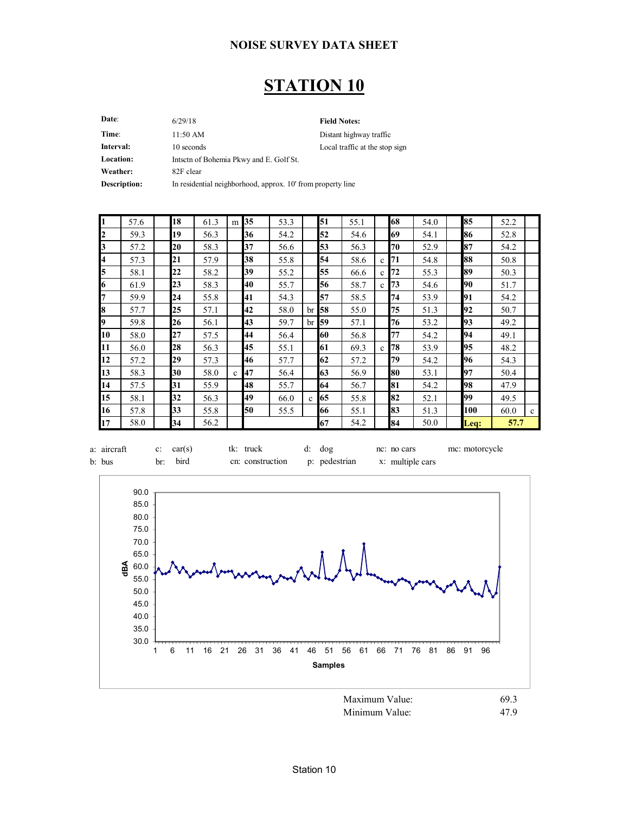### **STATION 10**

| Date:            | 6/29/18                                                     | <b>Field Notes:</b>            |
|------------------|-------------------------------------------------------------|--------------------------------|
| Time:            | 11:50 AM                                                    | Distant highway traffic        |
| Interval:        | 10 seconds                                                  | Local traffic at the stop sign |
| <b>Location:</b> | Intsctn of Bohemia Pkwy and E. Golf St.                     |                                |
| Weather:         | 82F clear                                                   |                                |
| Description:     | In residential neighborhood, approx. 10' from property line |                                |
|                  |                                                             |                                |

 $\mathbf{r}$ 

| <sup>1</sup>            | 57.6 | 18 | 61.3 | m            | 35 | 53.3 |                 | 51          | 55.1 |              | 68 | 54.0 | 85   | 52.2 |              |
|-------------------------|------|----|------|--------------|----|------|-----------------|-------------|------|--------------|----|------|------|------|--------------|
| $\mathbf{z}$            | 59.3 | 19 | 56.3 |              | 36 | 54.2 |                 | 52          | 54.6 |              | 69 | 54.1 | 86   | 52.8 |              |
| $\mathbf{3}$            | 57.2 | 20 | 58.3 |              | 37 | 56.6 |                 | 53          | 56.3 |              | 70 | 52.9 | 87   | 54.2 |              |
| $\overline{\mathbf{4}}$ | 57.3 | 21 | 57.9 |              | 38 | 55.8 |                 | 54          | 58.6 | $\mathbf{c}$ | 71 | 54.8 | 88   | 50.8 |              |
| 5                       | 58.1 | 22 | 58.2 |              | 39 | 55.2 |                 | 55          | 66.6 | c            | 72 | 55.3 | 89   | 50.3 |              |
| 6                       | 61.9 | 23 | 58.3 |              | 40 | 55.7 |                 | 56          | 58.7 | $\mathbf{c}$ | 73 | 54.6 | 90   | 51.7 |              |
| l7                      | 59.9 | 24 | 55.8 |              | 41 | 54.3 |                 | 57          | 58.5 |              | 74 | 53.9 | 91   | 54.2 |              |
| 8                       | 57.7 | 25 | 57.1 |              | 42 | 58.0 | br <sub>l</sub> | 58          | 55.0 |              | 75 | 51.3 | 92   | 50.7 |              |
| l9                      | 59.8 | 26 | 56.1 |              | 43 | 59.7 |                 | $\rm br$ 59 | 57.1 |              | 76 | 53.2 | 93   | 49.2 |              |
| 10                      | 58.0 | 27 | 57.5 |              | 44 | 56.4 |                 | 60          | 56.8 |              | 77 | 54.2 | 94   | 49.1 |              |
| 11                      | 56.0 | 28 | 56.3 |              | 45 | 55.1 |                 | 61          | 69.3 | $\mathbf{c}$ | 78 | 53.9 | 95   | 48.2 |              |
| 12                      | 57.2 | 29 | 57.3 |              | 46 | 57.7 |                 | 62          | 57.2 |              | 79 | 54.2 | 96   | 54.3 |              |
| 13                      | 58.3 | 30 | 58.0 | $\mathbf{c}$ | 47 | 56.4 |                 | 63          | 56.9 |              | 80 | 53.1 | 97   | 50.4 |              |
| 14                      | 57.5 | 31 | 55.9 |              | 48 | 55.7 |                 | 64          | 56.7 |              | 81 | 54.2 | 98   | 47.9 |              |
| 15                      | 58.1 | 32 | 56.3 |              | 49 | 66.0 | $\mathbf{c}$    | 65          | 55.8 |              | 82 | 52.1 | 99   | 49.5 |              |
| 16                      | 57.8 | 33 | 55.8 |              | 50 | 55.5 |                 | 66          | 55.1 |              | 83 | 51.3 | 100  | 60.0 | $\mathbf{c}$ |
| 17                      | 58.0 | 34 | 56.2 |              |    |      |                 | 67          | 54.2 |              | 84 | 50.0 | Leq: | 57.7 |              |

| a: aircraft c: car(s) |          | tk: truck                                       | d: dog | nc: no cars | mc: motorcycle |
|-----------------------|----------|-------------------------------------------------|--------|-------------|----------------|
| b: bus                | br: bird | cn: construction p: pedestrian x: multiple cars |        |             |                |



Minimum Value: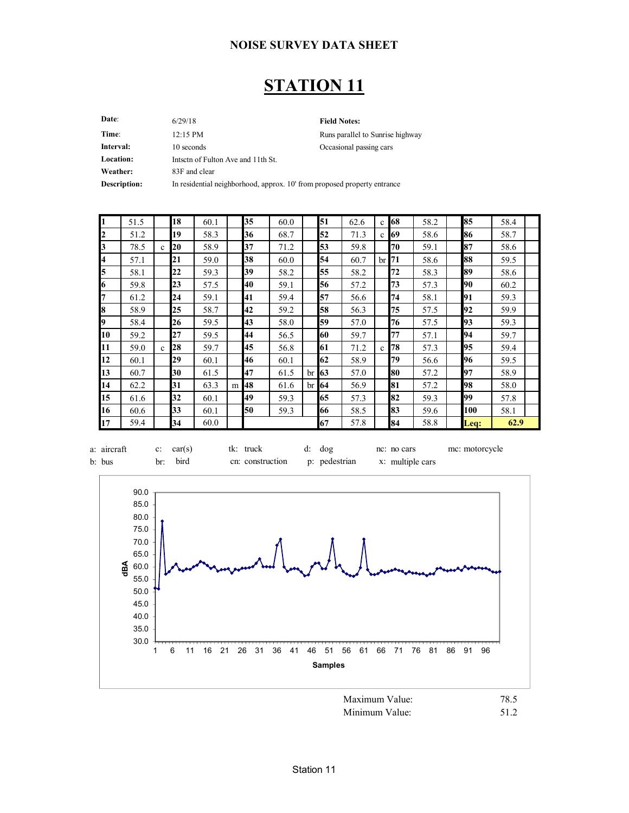### **STATION 11**

| Date:            | 6/29/18                                                                  | <b>Field Notes:</b>              |
|------------------|--------------------------------------------------------------------------|----------------------------------|
| Time:            | $12:15$ PM                                                               | Runs parallel to Sunrise highway |
| Interval:        | 10 seconds                                                               | Occasional passing cars          |
| <b>Location:</b> | Intsetn of Fulton Ave and 11th St.                                       |                                  |
| Weather:         | 83F and clear                                                            |                                  |
| Description:     | In residential neighborhood, approx. 10' from proposed property entrance |                                  |
|                  |                                                                          |                                  |

| I1        | 51.5 |             | 18 | 60.1 |   | 35 | 60.0 |              | 51 | 62.6 | $\mathbf{c}$ | 68          | 58.2 | 85   | 58.4 |
|-----------|------|-------------|----|------|---|----|------|--------------|----|------|--------------|-------------|------|------|------|
| 12        | 51.2 |             | 19 | 58.3 |   | 36 | 68.7 |              | 52 | 71.3 | $\mathbf{c}$ | 69          | 58.6 | 86   | 58.7 |
| 13        | 78.5 | $\mathbf c$ | 20 | 58.9 |   | 37 | 71.2 |              | 53 | 59.8 |              | 70          | 59.1 | 87   | 58.6 |
| 4         | 57.1 |             | 21 | 59.0 |   | 38 | 60.0 |              | 54 | 60.7 |              | $\rm br$ 71 | 58.6 | 88   | 59.5 |
| 5         | 58.1 |             | 22 | 59.3 |   | 39 | 58.2 |              | 55 | 58.2 |              | 72          | 58.3 | 89   | 58.6 |
| 16        | 59.8 |             | 23 | 57.5 |   | 40 | 59.1 |              | 56 | 57.2 |              | 73          | 57.3 | 90   | 60.2 |
| 7         | 61.2 |             | 24 | 59.1 |   | 41 | 59.4 |              | 57 | 56.6 |              | 74          | 58.1 | 91   | 59.3 |
| 8         | 58.9 |             | 25 | 58.7 |   | 42 | 59.2 |              | 58 | 56.3 |              | 75          | 57.5 | 92   | 59.9 |
| I9        | 58.4 |             | 26 | 59.5 |   | 43 | 58.0 |              | 59 | 57.0 |              | 76          | 57.5 | 93   | 59.3 |
| 10        | 59.2 |             | 27 | 59.5 |   | 44 | 56.5 |              | 60 | 59.7 |              | 77          | 57.1 | 94   | 59.7 |
| <b>11</b> | 59.0 | $\mathbf c$ | 28 | 59.7 |   | 45 | 56.8 |              | 61 | 71.2 | c            | 78          | 57.3 | 95   | 59.4 |
| 12        | 60.1 |             | 29 | 60.1 |   | 46 | 60.1 |              | 62 | 58.9 |              | 79          | 56.6 | 96   | 59.5 |
| 13        | 60.7 |             | 30 | 61.5 |   | 47 | 61.5 | br I         | 63 | 57.0 |              | 80          | 57.2 | 97   | 58.9 |
| 14        | 62.2 |             | 31 | 63.3 | m | 48 | 61.6 | $\rm br$ 164 |    | 56.9 |              | 81          | 57.2 | 98   | 58.0 |
| 15        | 61.6 |             | 32 | 60.1 |   | 49 | 59.3 |              | 65 | 57.3 |              | 82          | 59.3 | 99   | 57.8 |
| 16        | 60.6 |             | 33 | 60.1 |   | 50 | 59.3 |              | 66 | 58.5 |              | 83          | 59.6 | 100  | 58.1 |
| 17        | 59.4 |             | 34 | 60.0 |   |    |      |              | 67 | 57.8 |              | 84          | 58.8 | Leq: | 62.9 |



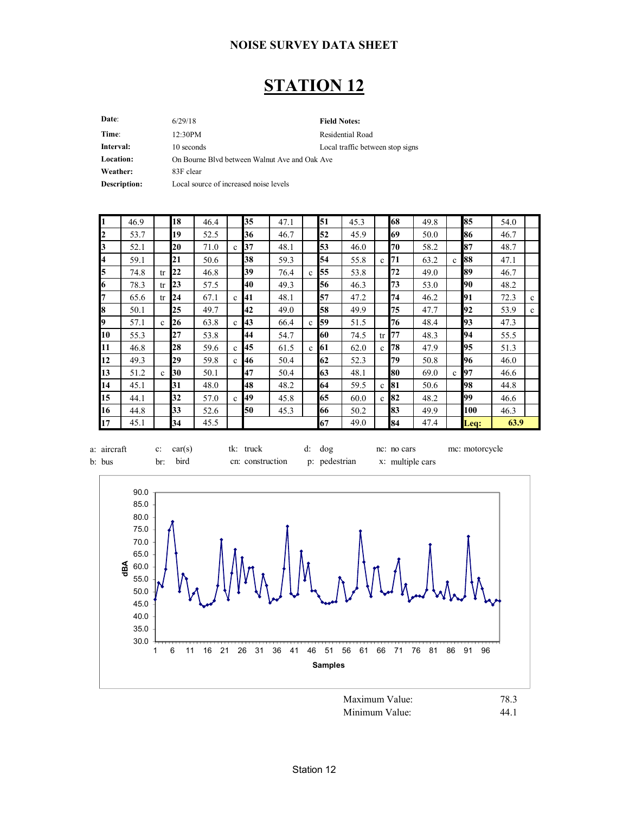### **STATION 12**

| 6/29/18                                       | <b>Field Notes:</b>              |
|-----------------------------------------------|----------------------------------|
| 12:30PM                                       | Residential Road                 |
| 10 seconds                                    | Local traffic between stop signs |
| On Bourne Blyd between Walnut Ave and Oak Ave |                                  |
| 83F clear                                     |                                  |
| Local source of increased noise levels        |                                  |
|                                               |                                  |

| I1 | 46.9 |              | 18 | 46.4 |              | 35 | 47.1 |              | 51 | 45.3 |              | 68     | 49.8 |              | 85   | 54.0 |              |
|----|------|--------------|----|------|--------------|----|------|--------------|----|------|--------------|--------|------|--------------|------|------|--------------|
| 2  | 53.7 |              | 19 | 52.5 |              | 36 | 46.7 |              | 52 | 45.9 |              | 69     | 50.0 |              | 86   | 46.7 |              |
| 3  | 52.1 |              | 20 | 71.0 | $\mathbf{c}$ | 37 | 48.1 |              | 53 | 46.0 |              | 70     | 58.2 |              | 87   | 48.7 |              |
| 4  | 59.1 |              | 21 | 50.6 |              | 38 | 59.3 |              | 54 | 55.8 | $\mathbf{c}$ | 71     | 63.2 | $\mathbf c$  | 88   | 47.1 |              |
| 5  | 74.8 | tr           | 22 | 46.8 |              | 39 | 76.4 | $\mathbf{c}$ | 55 | 53.8 |              | 72     | 49.0 |              | 89   | 46.7 |              |
| 6  | 78.3 | tr           | 23 | 57.5 |              | 40 | 49.3 |              | 56 | 46.3 |              | 73     | 53.0 |              | 90   | 48.2 |              |
| l7 | 65.6 | tr           | 24 | 67.1 | $\mathbf{c}$ | 41 | 48.1 |              | 57 | 47.2 |              | 74     | 46.2 |              | 91   | 72.3 | $\mathbf{c}$ |
| 8  | 50.1 |              | 25 | 49.7 |              | 42 | 49.0 |              | 58 | 49.9 |              | 75     | 47.7 |              | 92   | 53.9 | $\mathbf{c}$ |
| I9 | 57.1 | $\mathbf{c}$ | 26 | 63.8 | $\mathbf{c}$ | 43 | 66.4 | $\mathbf{c}$ | 59 | 51.5 |              | 76     | 48.4 |              | 93   | 47.3 |              |
| 10 | 55.3 |              | 27 | 53.8 |              | 44 | 54.7 |              | 60 | 74.5 | tr           | 77     | 48.3 |              | 94   | 55.5 |              |
| 11 | 46.8 |              | 28 | 59.6 | $\mathbf{c}$ | 45 | 61.5 | $\mathbf{c}$ | 61 | 62.0 | $\mathbf{c}$ | 78     | 47.9 |              | 95   | 51.3 |              |
| 12 | 49.3 |              | 29 | 59.8 | $\mathbf{c}$ | 46 | 50.4 |              | 62 | 52.3 |              | 79     | 50.8 |              | 96   | 46.0 |              |
| 13 | 51.2 | $\mathbf{c}$ | 30 | 50.1 |              | 47 | 50.4 |              | 63 | 48.1 |              | 80     | 69.0 | $\mathbf{c}$ | 97   | 46.6 |              |
| 14 | 45.1 |              | 31 | 48.0 |              | 48 | 48.2 |              | 64 | 59.5 |              | $c$ 81 | 50.6 |              | 98   | 44.8 |              |
| 15 | 44.1 |              | 32 | 57.0 | $\mathbf{c}$ | 49 | 45.8 |              | 65 | 60.0 |              | $c$ 82 | 48.2 |              | 99   | 46.6 |              |
| 16 | 44.8 |              | 33 | 52.6 |              | 50 | 45.3 |              | 66 | 50.2 |              | 83     | 49.9 |              | 100  | 46.3 |              |
| 17 | 45.1 |              | 34 | 45.5 |              |    |      |              | 67 | 49.0 |              | 84     | 47.4 |              | Leq: | 63.9 |              |



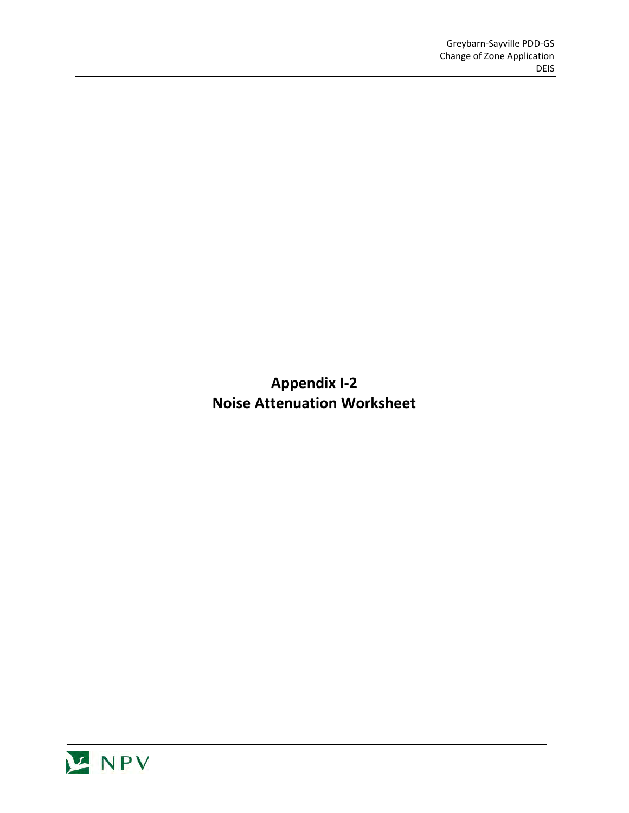**Appendix I-2 Noise Attenuation Worksheet**